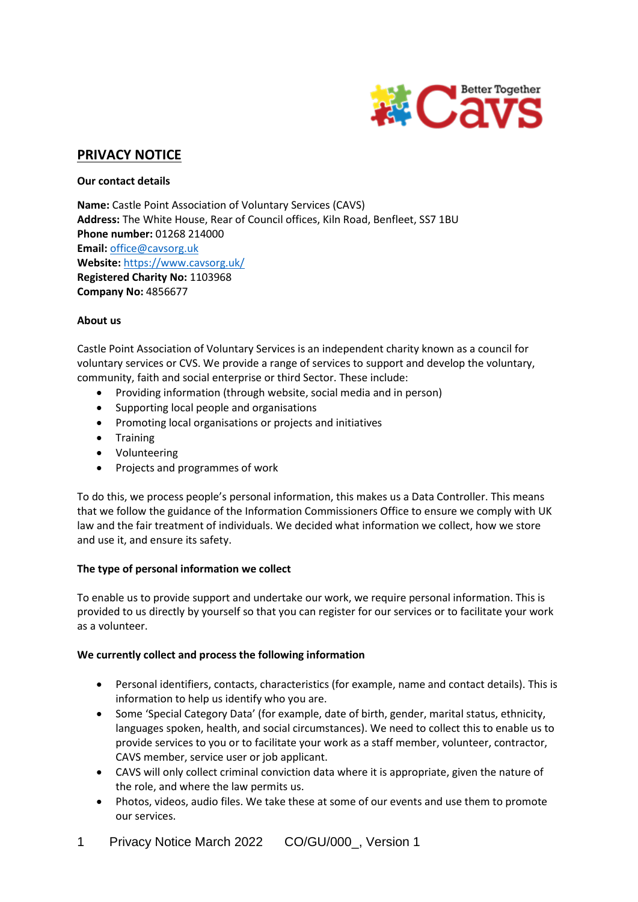

# **PRIVACY NOTICE**

## **Our contact details**

**Name:** Castle Point Association of Voluntary Services (CAVS) **Address:** The White House, Rear of Council offices, Kiln Road, Benfleet, SS7 1BU **Phone number:** 01268 214000 **Email:** [office@cavsorg.uk](mailto:office@cavsorg.uk) **Website:** <https://www.cavsorg.uk/> **Registered Charity No:** 1103968 **Company No:** 4856677

## **About us**

Castle Point Association of Voluntary Services is an independent charity known as a council for voluntary services or CVS. We provide a range of services to support and develop the voluntary, community, faith and social enterprise or third Sector. These include:

- Providing information (through website, social media and in person)
- Supporting local people and organisations
- Promoting local organisations or projects and initiatives
- **•** Training
- Volunteering
- Projects and programmes of work

To do this, we process people's personal information, this makes us a Data Controller. This means that we follow the guidance of the Information Commissioners Office to ensure we comply with UK law and the fair treatment of individuals. We decided what information we collect, how we store and use it, and ensure its safety.

# **The type of personal information we collect**

To enable us to provide support and undertake our work, we require personal information. This is provided to us directly by yourself so that you can register for our services or to facilitate your work as a volunteer.

# **We currently collect and process the following information**

- Personal identifiers, contacts, characteristics (for example, name and contact details). This is information to help us identify who you are.
- Some 'Special Category Data' (for example, date of birth, gender, marital status, ethnicity, languages spoken, health, and social circumstances). We need to collect this to enable us to provide services to you or to facilitate your work as a staff member, volunteer, contractor, CAVS member, service user or job applicant.
- CAVS will only collect criminal conviction data where it is appropriate, given the nature of the role, and where the law permits us.
- Photos, videos, audio files. We take these at some of our events and use them to promote our services.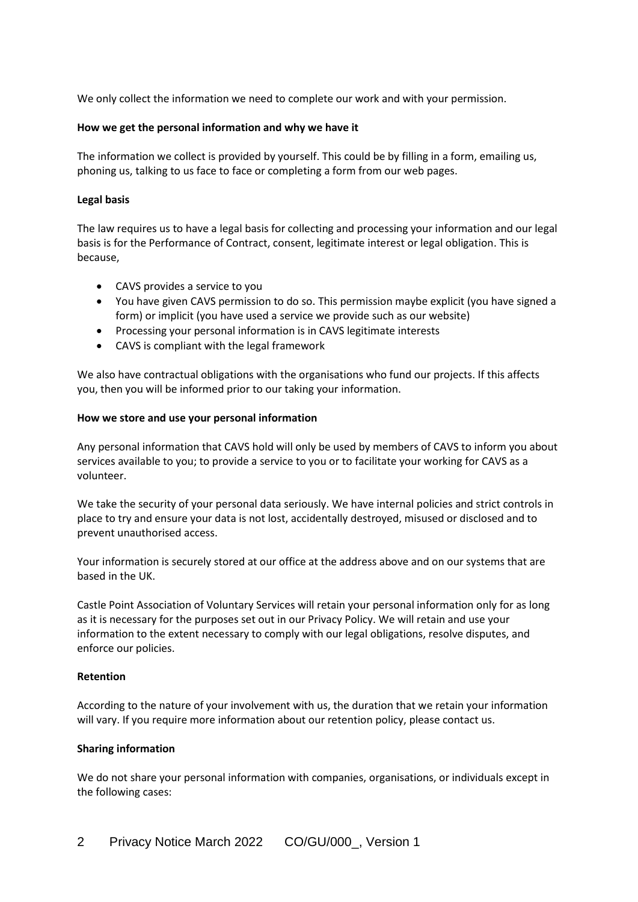We only collect the information we need to complete our work and with your permission.

#### **How we get the personal information and why we have it**

The information we collect is provided by yourself. This could be by filling in a form, emailing us, phoning us, talking to us face to face or completing a form from our web pages.

#### **Legal basis**

The law requires us to have a legal basis for collecting and processing your information and our legal basis is for the Performance of Contract, consent, legitimate interest or legal obligation. This is because,

- CAVS provides a service to you
- You have given CAVS permission to do so. This permission maybe explicit (you have signed a form) or implicit (you have used a service we provide such as our website)
- Processing your personal information is in CAVS legitimate interests
- CAVS is compliant with the legal framework

We also have contractual obligations with the organisations who fund our projects. If this affects you, then you will be informed prior to our taking your information.

#### **How we store and use your personal information**

Any personal information that CAVS hold will only be used by members of CAVS to inform you about services available to you; to provide a service to you or to facilitate your working for CAVS as a volunteer.

We take the security of your personal data seriously. We have internal policies and strict controls in place to try and ensure your data is not lost, accidentally destroyed, misused or disclosed and to prevent unauthorised access.

Your information is securely stored at our office at the address above and on our systems that are based in the UK.

Castle Point Association of Voluntary Services will retain your personal information only for as long as it is necessary for the purposes set out in our Privacy Policy. We will retain and use your information to the extent necessary to comply with our legal obligations, resolve disputes, and enforce our policies.

#### **Retention**

According to the nature of your involvement with us, the duration that we retain your information will vary. If you require more information about our retention policy, please contact us.

#### **Sharing information**

We do not share your personal information with companies, organisations, or individuals except in the following cases: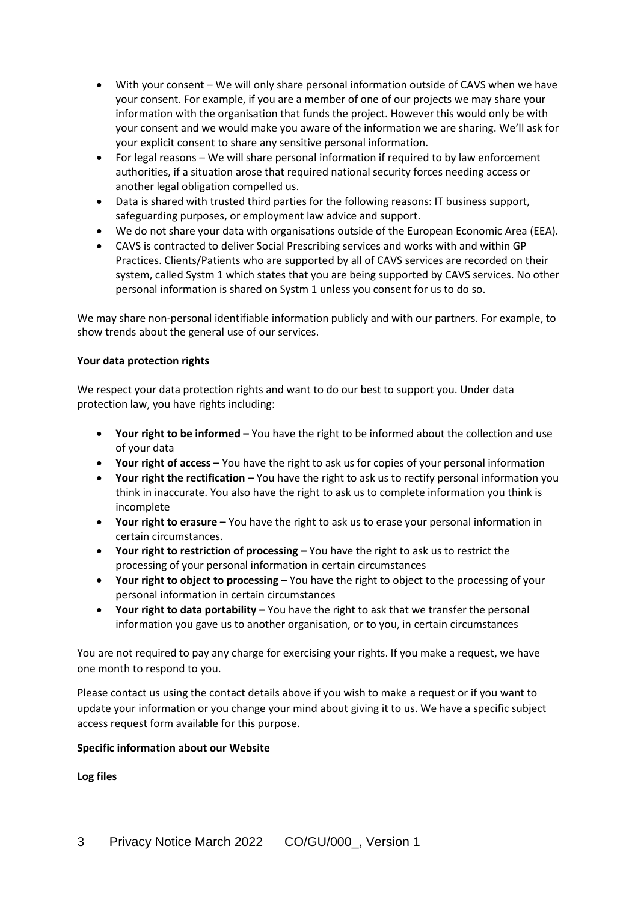- With your consent We will only share personal information outside of CAVS when we have your consent. For example, if you are a member of one of our projects we may share your information with the organisation that funds the project. However this would only be with your consent and we would make you aware of the information we are sharing. We'll ask for your explicit consent to share any sensitive personal information.
- For legal reasons We will share personal information if required to by law enforcement authorities, if a situation arose that required national security forces needing access or another legal obligation compelled us.
- Data is shared with trusted third parties for the following reasons: IT business support, safeguarding purposes, or employment law advice and support.
- We do not share your data with organisations outside of the European Economic Area (EEA).
- CAVS is contracted to deliver Social Prescribing services and works with and within GP Practices. Clients/Patients who are supported by all of CAVS services are recorded on their system, called Systm 1 which states that you are being supported by CAVS services. No other personal information is shared on Systm 1 unless you consent for us to do so.

We may share non-personal identifiable information publicly and with our partners. For example, to show trends about the general use of our services.

## **Your data protection rights**

We respect your data protection rights and want to do our best to support you. Under data protection law, you have rights including:

- **Your right to be informed** You have the right to be informed about the collection and use of your data
- **Your right of access –** You have the right to ask us for copies of your personal information
- **•** Your right the rectification You have the right to ask us to rectify personal information you think in inaccurate. You also have the right to ask us to complete information you think is incomplete
- **Your right to erasure –** You have the right to ask us to erase your personal information in certain circumstances.
- **•** Your right to restriction of processing You have the right to ask us to restrict the processing of your personal information in certain circumstances
- **•** Your right to object to processing You have the right to object to the processing of your personal information in certain circumstances
- **Your right to data portability –** You have the right to ask that we transfer the personal information you gave us to another organisation, or to you, in certain circumstances

You are not required to pay any charge for exercising your rights. If you make a request, we have one month to respond to you.

Please contact us using the contact details above if you wish to make a request or if you want to update your information or you change your mind about giving it to us. We have a specific subject access request form available for this purpose.

#### **Specific information about our Website**

**Log files**